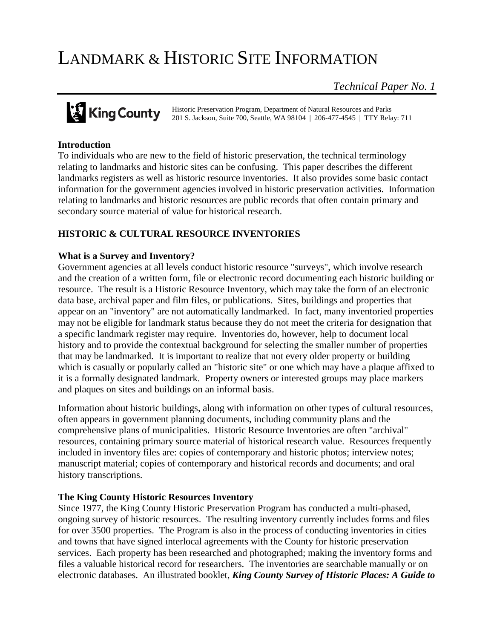# LANDMARK & HISTORIC SITE INFORMATION

*Technical Paper No. 1*

**King County** Historic Preservation Program, Department of Natural Resources and Parks<br>201 S. Jackson, Suite 700, Seattle, WA 98104 | 206-477-4545 | TTY Relay 201 S. Jackson, Suite 700, Seattle, WA 98104 | 206-477-4545 | TTY Relay: 711

# **Introduction**

To individuals who are new to the field of historic preservation, the technical terminology relating to landmarks and historic sites can be confusing. This paper describes the different landmarks registers as well as historic resource inventories. It also provides some basic contact information for the government agencies involved in historic preservation activities. Information relating to landmarks and historic resources are public records that often contain primary and secondary source material of value for historical research.

# **HISTORIC & CULTURAL RESOURCE INVENTORIES**

### **What is a Survey and Inventory?**

Government agencies at all levels conduct historic resource "surveys", which involve research and the creation of a written form, file or electronic record documenting each historic building or resource. The result is a Historic Resource Inventory, which may take the form of an electronic data base, archival paper and film files, or publications. Sites, buildings and properties that appear on an "inventory" are not automatically landmarked. In fact, many inventoried properties may not be eligible for landmark status because they do not meet the criteria for designation that a specific landmark register may require. Inventories do, however, help to document local history and to provide the contextual background for selecting the smaller number of properties that may be landmarked. It is important to realize that not every older property or building which is casually or popularly called an "historic site" or one which may have a plaque affixed to it is a formally designated landmark. Property owners or interested groups may place markers and plaques on sites and buildings on an informal basis.

Information about historic buildings, along with information on other types of cultural resources, often appears in government planning documents, including community plans and the comprehensive plans of municipalities. Historic Resource Inventories are often "archival" resources, containing primary source material of historical research value. Resources frequently included in inventory files are: copies of contemporary and historic photos; interview notes; manuscript material; copies of contemporary and historical records and documents; and oral history transcriptions.

### **The King County Historic Resources Inventory**

Since 1977, the King County Historic Preservation Program has conducted a multi-phased, ongoing survey of historic resources. The resulting inventory currently includes forms and files for over 3500 properties. The Program is also in the process of conducting inventories in cities and towns that have signed interlocal agreements with the County for historic preservation services. Each property has been researched and photographed; making the inventory forms and files a valuable historical record for researchers. The inventories are searchable manually or on electronic databases. An illustrated booklet, *King County Survey of Historic Places: A Guide to*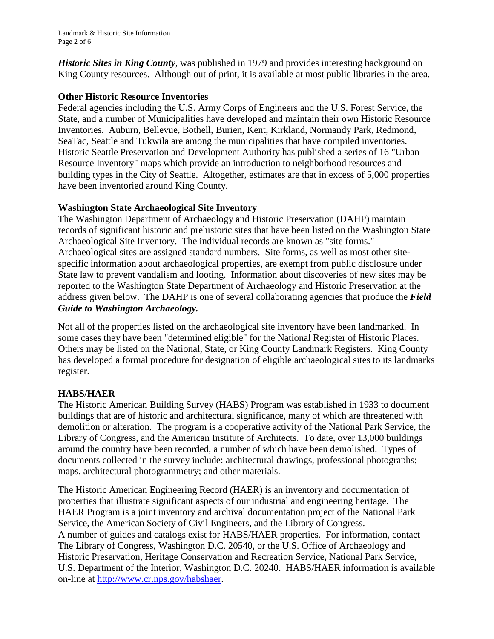Landmark & Historic Site Information Page 2 of 6

*Historic Sites in King County*, was published in 1979 and provides interesting background on King County resources. Although out of print, it is available at most public libraries in the area.

## **Other Historic Resource Inventories**

Federal agencies including the U.S. Army Corps of Engineers and the U.S. Forest Service, the State, and a number of Municipalities have developed and maintain their own Historic Resource Inventories. Auburn, Bellevue, Bothell, Burien, Kent, Kirkland, Normandy Park, Redmond, SeaTac, Seattle and Tukwila are among the municipalities that have compiled inventories. Historic Seattle Preservation and Development Authority has published a series of 16 "Urban Resource Inventory" maps which provide an introduction to neighborhood resources and building types in the City of Seattle. Altogether, estimates are that in excess of 5,000 properties have been inventoried around King County.

## **Washington State Archaeological Site Inventory**

The Washington Department of Archaeology and Historic Preservation (DAHP) maintain records of significant historic and prehistoric sites that have been listed on the Washington State Archaeological Site Inventory. The individual records are known as "site forms." Archaeological sites are assigned standard numbers. Site forms, as well as most other sitespecific information about archaeological properties, are exempt from public disclosure under State law to prevent vandalism and looting. Information about discoveries of new sites may be reported to the Washington State Department of Archaeology and Historic Preservation at the address given below. The DAHP is one of several collaborating agencies that produce the *Field Guide to Washington Archaeology.* 

Not all of the properties listed on the archaeological site inventory have been landmarked. In some cases they have been "determined eligible" for the National Register of Historic Places. Others may be listed on the National, State, or King County Landmark Registers. King County has developed a formal procedure for designation of eligible archaeological sites to its landmarks register.

# **HABS/HAER**

The Historic American Building Survey (HABS) Program was established in 1933 to document buildings that are of historic and architectural significance, many of which are threatened with demolition or alteration. The program is a cooperative activity of the National Park Service, the Library of Congress, and the American Institute of Architects. To date, over 13,000 buildings around the country have been recorded, a number of which have been demolished. Types of documents collected in the survey include: architectural drawings, professional photographs; maps, architectural photogrammetry; and other materials.

The Historic American Engineering Record (HAER) is an inventory and documentation of properties that illustrate significant aspects of our industrial and engineering heritage. The HAER Program is a joint inventory and archival documentation project of the National Park Service, the American Society of Civil Engineers, and the Library of Congress. A number of guides and catalogs exist for HABS/HAER properties. For information, contact The Library of Congress, Washington D.C. 20540, or the U.S. Office of Archaeology and Historic Preservation, Heritage Conservation and Recreation Service, National Park Service, U.S. Department of the Interior, Washington D.C. 20240. HABS/HAER information is available on-line at [http://www.cr.nps.gov/habshaer.](http://www.cr.nps.gov/habshaer)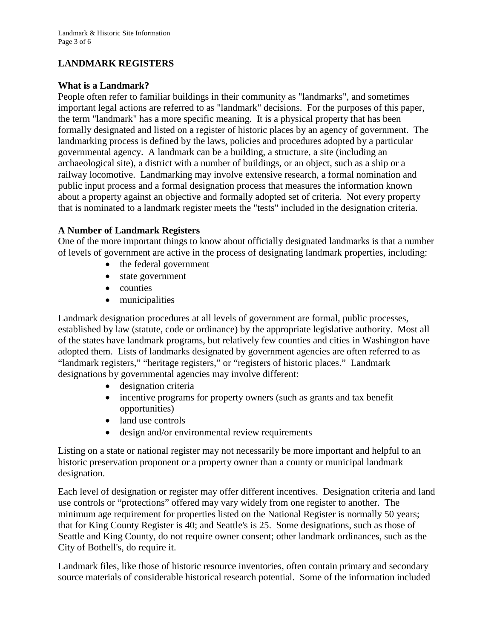# **LANDMARK REGISTERS**

## **What is a Landmark?**

People often refer to familiar buildings in their community as "landmarks", and sometimes important legal actions are referred to as "landmark" decisions. For the purposes of this paper, the term "landmark" has a more specific meaning. It is a physical property that has been formally designated and listed on a register of historic places by an agency of government. The landmarking process is defined by the laws, policies and procedures adopted by a particular governmental agency. A landmark can be a building, a structure, a site (including an archaeological site), a district with a number of buildings, or an object, such as a ship or a railway locomotive. Landmarking may involve extensive research, a formal nomination and public input process and a formal designation process that measures the information known about a property against an objective and formally adopted set of criteria. Not every property that is nominated to a landmark register meets the "tests" included in the designation criteria.

## **A Number of Landmark Registers**

One of the more important things to know about officially designated landmarks is that a number of levels of government are active in the process of designating landmark properties, including:

- the federal government
- state government
- counties
- municipalities

Landmark designation procedures at all levels of government are formal, public processes, established by law (statute, code or ordinance) by the appropriate legislative authority. Most all of the states have landmark programs, but relatively few counties and cities in Washington have adopted them. Lists of landmarks designated by government agencies are often referred to as "landmark registers," "heritage registers," or "registers of historic places." Landmark designations by governmental agencies may involve different:

- designation criteria
- incentive programs for property owners (such as grants and tax benefit opportunities)
- land use controls
- design and/or environmental review requirements

Listing on a state or national register may not necessarily be more important and helpful to an historic preservation proponent or a property owner than a county or municipal landmark designation.

Each level of designation or register may offer different incentives. Designation criteria and land use controls or "protections" offered may vary widely from one register to another. The minimum age requirement for properties listed on the National Register is normally 50 years; that for King County Register is 40; and Seattle's is 25. Some designations, such as those of Seattle and King County, do not require owner consent; other landmark ordinances, such as the City of Bothell's, do require it.

Landmark files, like those of historic resource inventories, often contain primary and secondary source materials of considerable historical research potential. Some of the information included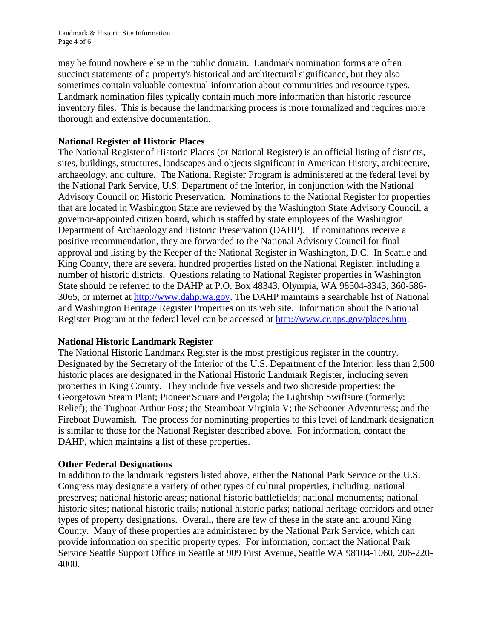may be found nowhere else in the public domain. Landmark nomination forms are often succinct statements of a property's historical and architectural significance, but they also sometimes contain valuable contextual information about communities and resource types. Landmark nomination files typically contain much more information than historic resource inventory files. This is because the landmarking process is more formalized and requires more thorough and extensive documentation.

# **National Register of Historic Places**

The National Register of Historic Places (or National Register) is an official listing of districts, sites, buildings, structures, landscapes and objects significant in American History, architecture, archaeology, and culture. The National Register Program is administered at the federal level by the National Park Service, U.S. Department of the Interior, in conjunction with the National Advisory Council on Historic Preservation. Nominations to the National Register for properties that are located in Washington State are reviewed by the Washington State Advisory Council, a governor-appointed citizen board, which is staffed by state employees of the Washington Department of Archaeology and Historic Preservation (DAHP). If nominations receive a positive recommendation, they are forwarded to the National Advisory Council for final approval and listing by the Keeper of the National Register in Washington, D.C. In Seattle and King County, there are several hundred properties listed on the National Register, including a number of historic districts. Questions relating to National Register properties in Washington State should be referred to the DAHP at P.O. Box 48343, Olympia, WA 98504-8343, 360-586- 3065, or internet at [http://www.dahp.wa.gov.](http://www.dahp.wa.gov/) The DAHP maintains a searchable list of National and Washington Heritage Register Properties on its web site. Information about the National Register Program at the federal level can be accessed at [http://www.cr.nps.gov/places.htm.](http://www.cr.nps.gov/places.htm)

# **National Historic Landmark Register**

The National Historic Landmark Register is the most prestigious register in the country. Designated by the Secretary of the Interior of the U.S. Department of the Interior, less than 2,500 historic places are designated in the National Historic Landmark Register, including seven properties in King County. They include five vessels and two shoreside properties: the Georgetown Steam Plant; Pioneer Square and Pergola; the Lightship Swiftsure (formerly: Relief); the Tugboat Arthur Foss; the Steamboat Virginia V; the Schooner Adventuress; and the Fireboat Duwamish. The process for nominating properties to this level of landmark designation is similar to those for the National Register described above. For information, contact the DAHP, which maintains a list of these properties.

# **Other Federal Designations**

In addition to the landmark registers listed above, either the National Park Service or the U.S. Congress may designate a variety of other types of cultural properties, including: national preserves; national historic areas; national historic battlefields; national monuments; national historic sites; national historic trails; national historic parks; national heritage corridors and other types of property designations. Overall, there are few of these in the state and around King County. Many of these properties are administered by the National Park Service, which can provide information on specific property types. For information, contact the National Park Service Seattle Support Office in Seattle at 909 First Avenue, Seattle WA 98104-1060, 206-220- 4000.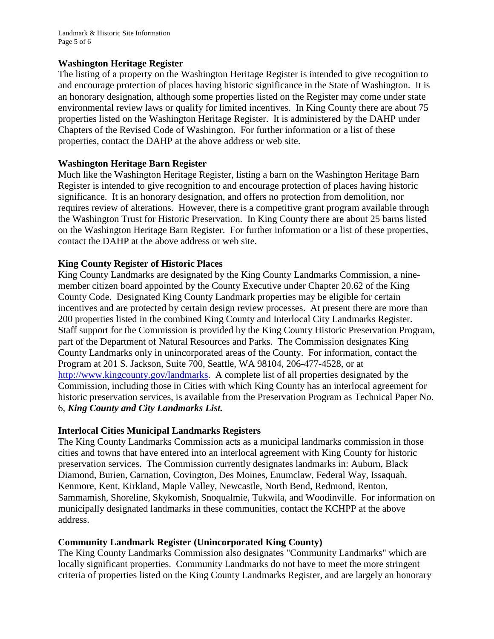Landmark & Historic Site Information Page 5 of 6

#### **Washington Heritage Register**

The listing of a property on the Washington Heritage Register is intended to give recognition to and encourage protection of places having historic significance in the State of Washington. It is an honorary designation, although some properties listed on the Register may come under state environmental review laws or qualify for limited incentives. In King County there are about 75 properties listed on the Washington Heritage Register. It is administered by the DAHP under Chapters of the Revised Code of Washington. For further information or a list of these properties, contact the DAHP at the above address or web site.

### **Washington Heritage Barn Register**

Much like the Washington Heritage Register, listing a barn on the Washington Heritage Barn Register is intended to give recognition to and encourage protection of places having historic significance. It is an honorary designation, and offers no protection from demolition, nor requires review of alterations. However, there is a competitive grant program available through the Washington Trust for Historic Preservation. In King County there are about 25 barns listed on the Washington Heritage Barn Register. For further information or a list of these properties, contact the DAHP at the above address or web site.

### **King County Register of Historic Places**

King County Landmarks are designated by the King County Landmarks Commission, a ninemember citizen board appointed by the County Executive under Chapter 20.62 of the King County Code. Designated King County Landmark properties may be eligible for certain incentives and are protected by certain design review processes. At present there are more than 200 properties listed in the combined King County and Interlocal City Landmarks Register. Staff support for the Commission is provided by the King County Historic Preservation Program, part of the Department of Natural Resources and Parks. The Commission designates King County Landmarks only in unincorporated areas of the County. For information, contact the Program at 201 S. Jackson, Suite 700, Seattle, WA 98104, 206-477-4528, or at [http://www.kingcounty.gov/landmarks.](http://www.kingcounty.gov/landmarks) A complete list of all properties designated by the Commission, including those in Cities with which King County has an interlocal agreement for historic preservation services, is available from the Preservation Program as Technical Paper No. 6, *King County and City Landmarks List.*

### **Interlocal Cities Municipal Landmarks Registers**

The King County Landmarks Commission acts as a municipal landmarks commission in those cities and towns that have entered into an interlocal agreement with King County for historic preservation services. The Commission currently designates landmarks in: Auburn, Black Diamond, Burien, Carnation, Covington, Des Moines, Enumclaw, Federal Way, Issaquah, Kenmore, Kent, Kirkland, Maple Valley, Newcastle, North Bend, Redmond, Renton, Sammamish, Shoreline, Skykomish, Snoqualmie, Tukwila, and Woodinville. For information on municipally designated landmarks in these communities, contact the KCHPP at the above address.

### **Community Landmark Register (Unincorporated King County)**

The King County Landmarks Commission also designates "Community Landmarks" which are locally significant properties. Community Landmarks do not have to meet the more stringent criteria of properties listed on the King County Landmarks Register, and are largely an honorary